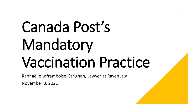# Canada Post's Mandatory Vaccination Practice

Raphaëlle Laframboise-Carignan, Lawyer at RavenLaw

November 8, 2021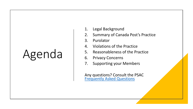## Agenda

- 1. Legal Background
- 2. Summary of Canada Post's Practice
- 3. Purolator
- 4. Violations of the Practice
- 5. Reasonableness of the Practice
- 6. Privacy Concerns
- 7. Supporting your Members

Any questions? Consult the PSAC [Frequently Asked Questions](http://psacunion.ca/faq-vaccinations-and-workplace)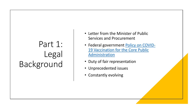### Part 1: Legal Background

- Letter from the Minister of Public Services and Procurement
- Federal government Policy on COVID-[19 Vaccination for the Core](https://www.tbs-sct.gc.ca/pol/doc-eng.aspx?id=32694) Public Administration
- Duty of fair representation
- Unprecedented issues
- Constantly evolving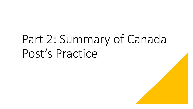## Part 2: Summary of Canada Post's Practice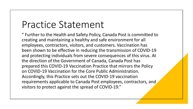### Practice Statement

" Further to the Health and Safety Policy, Canada Post is committed to creating and maintaining a healthy and safe environment for all employees, contractors, visitors, and customers. Vaccination has been shown to be effective in reducing the transmission of COVID-19 and protecting individuals from severe consequences of this virus. At the direction of the Government of Canada, Canada Post has prepared this COVID-19 Vaccination Practice that mirrors the Policy on COVID-19 Vaccination for the Core Public Administration. Accordingly, this Practice sets out the COVID-19 vaccination requirements applicable to Canada Post employees, contractors, and visitors to protect against the spread of COVID-19."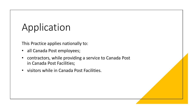## Application

This Practice applies nationally to:

- all Canada Post employees;
- contractors, while providing a service to Canada Post in Canada Post Facilities;
- visitors while in Canada Post Facilities.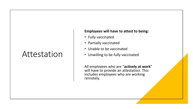#### Attestation

#### **Employees will have to attest to being:**

- Fully vaccinated
- Partially vaccinated
- Unable to be vaccinated
- Unwilling to be fully vaccinated

All employees who are "**actively at work**" will have to provide an attestation. This includes employees who are working remotely.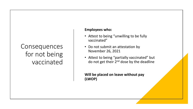#### **Consequences** for not being vaccinated

#### **Employees who:**

- Attest to being "unwilling to be fully vaccinated"
- Do not submit an attestation by November 26, 2021
- Attest to being "partially vaccinated" but do not get their 2<sup>nd</sup> dose by the deadline

**Will be placed on leave without pay (LWOP)**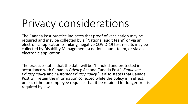## Privacy considerations

The Canada Post practice indicates that proof of vaccination may be required and may be collected by a "National audit team" or via an electronic application. Similarly, negative COVID-19 test results may be collected by Disability Management, a national audit team, or via an electronic application.

The practice states that the data will be "handled and protected in accordance with Canada's *Privacy Act* and Canada Post's *Employee Privacy Policy* and *Customer Privacy Policy.*" It also states that Canada Post will retain the information collected while the policy is in effect, unless either an employee requests that it be retained for longer or it is required by law.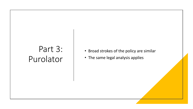### Part 3: Purolator

- Broad strokes of the policy are similar
- The same legal analysis applies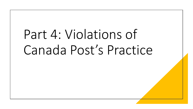## Part 4: Violations of Canada Post's Practice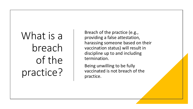## What is a breach of the practice?

Breach of the practice (e.g., providing a false attestation, harassing someone based on their vaccination status) will result in discipline up to and including termination.

Being unwilling to be fully vaccinated is not breach of the practice.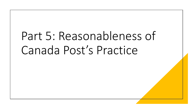## Part 5: Reasonableness of Canada Post's Practice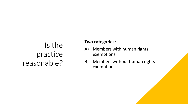#### Is the practice reasonable?

#### **Two categories:**

- A) Members with human rights exemptions
- B) Members without human rights exemptions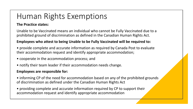#### Human Rights Exemptions

#### **The Practice states:**

Unable to be Vaccinated means an individual who cannot be Fully Vaccinated due to a prohibited ground of discrimination as defined in the Canadian Human Rights Act.

#### **Employees who attest to being Unable to be Fully Vaccinated will be required to:**

- provide complete and accurate information as required by Canada Post to evaluate their accommodation request and identify appropriate accommodation;
- cooperate in the accommodation process; and
- notify their team leader if their accommodation needs change.

#### **Employees are responsible for:**

- informing CP of the need for accommodation based on any of the prohibited grounds of discrimination as defined under the Canadian Human Rights Act
- providing complete and accurate information required by CP to support their accommodation request and identify appropriate accommodation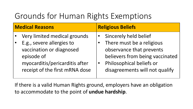### Grounds for Human Rights Exemptions

| <b>Medical Reasons</b> |                                                                                                                                                                         | <b>Religious Beliefs</b>                                                                                                                                                        |  |
|------------------------|-------------------------------------------------------------------------------------------------------------------------------------------------------------------------|---------------------------------------------------------------------------------------------------------------------------------------------------------------------------------|--|
|                        | Very limited medical grounds<br>E.g., severe allergies to<br>vaccination or diagnosed<br>episode of<br>myocarditis/pericarditis after<br>receipt of the first mRNA dose | Sincerely held belief<br>There must be a religious<br>observance that prevents<br>believers from being vaccinated<br>Philosophical beliefs or<br>disagreements will not qualify |  |
|                        |                                                                                                                                                                         |                                                                                                                                                                                 |  |

If there is a valid Human Rights ground, employers have an obligation to accommodate to the point of **undue hardship**.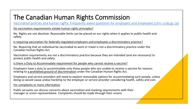#### The Canadian Human Rights Commission

[Vaccination policies and human rights: Frequently asked questions for employers and employees \(chrc-ccdp.gc.ca\)](https://www.chrc-ccdp.gc.ca/en/resources/vaccination-policies-and-human-rights-frequently-asked-questions-employers-and-employees)

Do vaccination requirements violate human rights principles?

No. Rights are not absolute. Reasonable limits can be placed on our rights when it applies to public health and safety.

Is requiring vaccination for federally-regulated employers and employees a discriminatory practice?

No. Requiring that an individual be vaccinated to work or travel is not a discriminatory practice under the Canadian Human Rights Act.

Vaccination requirements are not a discriminatory practice because they are intended (and are necessary) to protect public health and safety.

Is there a Duty to Accommodate requirement for people who cannot receive a vaccine?

Employers have a duty to accommodate only those people who are unable to receive a vaccine for reasons relating to [a prohibited ground of discrimination](https://www.chrc-ccdp.gc.ca/en/about-human-rights/what-discrimination) under the Canadian Human Rights Act.

Employers and service providers will need to explore reasonable options for accommodating such people, unless doing so would cause undue hardship to the employer or service provider considering health, safety and cost.

For complaints or more information

Public servants can discuss concerns about vaccination and masking requirements with their manager or union representative. Complaints should be made through their unions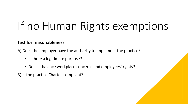## If no Human Rights exemptions

#### **Test for reasonableness**:

A) Does the employer have the authority to implement the practice?

- Is there a legitimate purpose?
- Does it balance workplace concerns and employees' rights?

B) Is the practice Charter-compliant?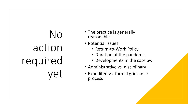## No action required yet

- The practice is generally reasonable
- Potential issues:
	- Return-to-Work Policy
	- Duration of the pandemic
	- Developments in the caselaw
- Administrative vs. disciplinary
- Expedited vs. formal grievance process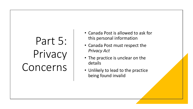## Part 5: Privacy Concerns

- Canada Post is allowed to ask for this personal information
- Canada Post must respect the *Privacy Act*
- The practice is unclear on the details
- Unlikely to lead to the practice being found invalid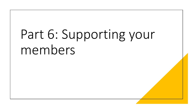## Part 6: Supporting your members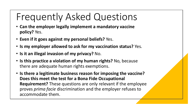### Frequently Asked Questions

- **Can the employer legally implement a mandatory vaccine policy?** Yes.
- **Even if it goes against my personal beliefs?** Yes.
- **Is my employer allowed to ask for my vaccination status?** Yes.
- **Is it an illegal invasion of my privacy?** No.
- **Is this practice a violation of my human rights?** No, because there are adequate human rights exemptions.
- **Is there a legitimate business reason for imposing the vaccine? Does this meet the test for a Bona Fide Occupational Requirement?** These questions are only relevant if the employee proves *prima facie* discrimination and the employer refuses to accommodate them.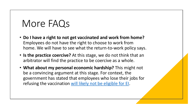### More FAQs

- **Do I have a right to not get vaccinated and work from home?**  Employees do not have the right to choose to work from home. We will have to see what the return-to-work policy says.
- **Is the practice coercive?** At this stage, we do not think that an arbitrator will find the practice to be coercive as a whole.
- **What about my personal economic hardship?** This might not be a convincing argument at this stage. For context, the government has stated that employees who lose their jobs for refusing the vaccination [will likely not be eligible for EI.](https://www.canada.ca/en/employment-social-development/programs/ei/ei-list/ei-roe/notice-covid-19.html)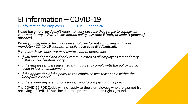#### EI information – COVID-19

[EI information for employers](https://www.canada.ca/en/employment-social-development/programs/ei/ei-list/ei-roe/notice-covid-19.html) – COVID-19 - Canada.ca

*When the employee doesn't report to work because they refuse to comply with your mandatory COVID-19 vaccination policy, use code E (quit) or code N (leave of absence).*

*When you suspend or terminate an employee for not complying with your mandatory COVID-19 vaccination policy, use code M (dismissal).*

*If you use these codes, we may contact you to determine:*

- *if you had adopted and clearly communicated to all employees a mandatory COVID-19 vaccination policy*
- *if the employees were informed that failure to comply with the policy would result in loss of employment*
- *if the application of the policy to the employee was reasonable within the workplace context*
- *if there were any exemptions for refusing to comply with the policy*

The COVID-19 ROE Codes will not apply to those employees who are exempt from receiving a COVID-19 vaccine due to a protected human rights ground.